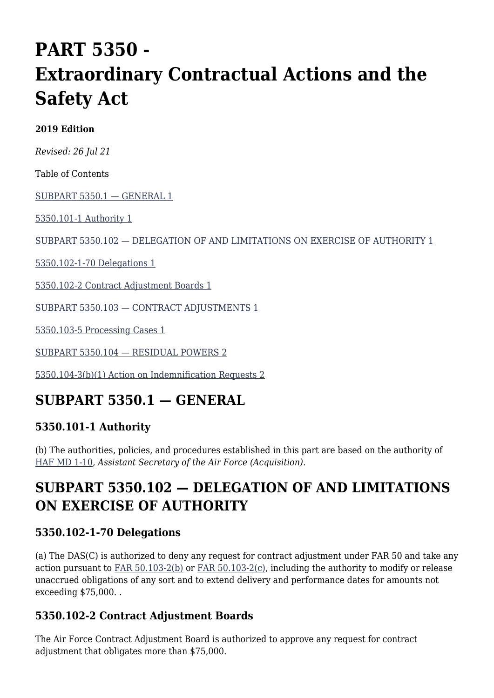# **PART 5350 - Extraordinary Contractual Actions and the Safety Act**

#### **2019 Edition**

*Revised: 26 Jul 21*

Table of Contents

[SUBPART 5350.1 — GENERAL 1](#page--1-0)

[5350.101-1 Authority 1](#page--1-0)

[SUBPART 5350.102 — DELEGATION OF AND LIMITATIONS ON EXERCISE OF AUTHORITY 1](#page--1-0)

[5350.102-1-70 Delegations 1](#page--1-0)

[5350.102-2 Contract Adjustment Boards 1](#page--1-0)

[SUBPART 5350.103 — CONTRACT ADJUSTMENTS 1](#page--1-0)

[5350.103-5 Processing Cases 1](#page--1-0)

[SUBPART 5350.104 — RESIDUAL POWERS 2](#page--1-0)

[5350.104-3\(b\)\(1\) Action on Indemnification Requests 2](#page--1-0)

## **SUBPART 5350.1 — GENERAL**

### **5350.101-1 Authority**

(b) The authorities, policies, and procedures established in this part are based on the authority of [HAF MD 1-10](http://static.e-publishing.af.mil/production/1/saf_aq/publication/hafmd1-10/hafmd1-10.pdf)*, Assistant Secretary of the Air Force (Acquisition)*.

## **SUBPART 5350.102 — DELEGATION OF AND LIMITATIONS ON EXERCISE OF AUTHORITY**

### **5350.102-1-70 Delegations**

(a) The DAS(C) is authorized to deny any request for contract adjustment under FAR 50 and take any action pursuant to [FAR 50.103-2\(b\)](https://www.acquisition.gov/far/part-50#FAR_50_103_2) or [FAR 50.103-2\(c\),](https://www.acquisition.gov/far/part-50#FAR_50_103_2) including the authority to modify or release unaccrued obligations of any sort and to extend delivery and performance dates for amounts not exceeding \$75,000. .

### **5350.102-2 Contract Adjustment Boards**

The Air Force Contract Adjustment Board is authorized to approve any request for contract adjustment that obligates more than \$75,000.